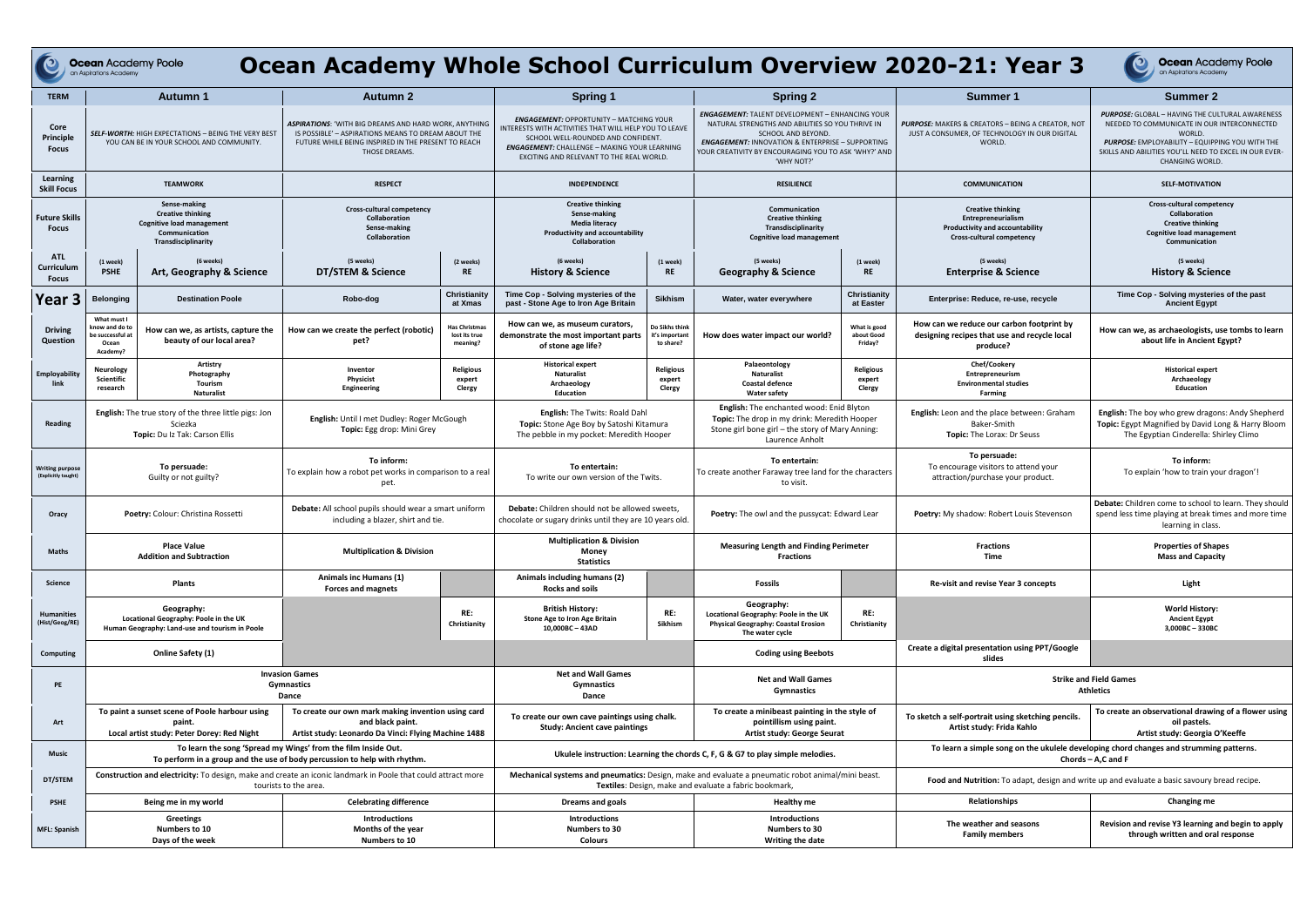Ocean Academy Poole

## **Ocean Academy Whole School Curriculum Overview 2020-21:**

| <b>TERM</b>                                   | <b>Autumn 1</b>                                                                                                                            |                                                                                                       | <b>Autumn 2</b>                                                                                                                                                                      |                                                                                | <b>Spring 1</b>                                                                                                                                                                                                                                  |                                                                                                                                                             | <b>Spring 2</b>                                                                                                                                                                                                                                                       |                                                                                                                | <b>Summer 1</b>                                                                                                     | <b>Summer 2</b>                                                                                                                                                                                                                                        |
|-----------------------------------------------|--------------------------------------------------------------------------------------------------------------------------------------------|-------------------------------------------------------------------------------------------------------|--------------------------------------------------------------------------------------------------------------------------------------------------------------------------------------|--------------------------------------------------------------------------------|--------------------------------------------------------------------------------------------------------------------------------------------------------------------------------------------------------------------------------------------------|-------------------------------------------------------------------------------------------------------------------------------------------------------------|-----------------------------------------------------------------------------------------------------------------------------------------------------------------------------------------------------------------------------------------------------------------------|----------------------------------------------------------------------------------------------------------------|---------------------------------------------------------------------------------------------------------------------|--------------------------------------------------------------------------------------------------------------------------------------------------------------------------------------------------------------------------------------------------------|
| Core<br>Principle<br><b>Focus</b>             | <b>SELF-WORTH:</b> HIGH EXPECTATIONS - BEING THE VERY BEST<br>YOU CAN BE IN YOUR SCHOOL AND COMMUNITY.                                     |                                                                                                       | ASPIRATIONS: 'WITH BIG DREAMS AND HARD WORK, ANYTHING<br>IS POSSIBLE' - ASPIRATIONS MEANS TO DREAM ABOUT THE<br>FUTURE WHILE BEING INSPIRED IN THE PRESENT TO REACH<br>THOSE DREAMS. |                                                                                | <b>ENGAGEMENT: OPPORTUNITY - MATCHING YOUR</b><br>INTERESTS WITH ACTIVITIES THAT WILL HELP YOU TO LEAVE<br>SCHOOL WELL-ROUNDED AND CONFIDENT.<br><b>ENGAGEMENT: CHALLENGE - MAKING YOUR LEARNING</b><br>EXCITING AND RELEVANT TO THE REAL WORLD. |                                                                                                                                                             | <b>ENGAGEMENT: TALENT DEVELOPMENT - ENHANCING YOUR</b><br>NATURAL STRENGTHS AND ABILITIES SO YOU THRIVE IN<br>SCHOOL AND BEYOND.<br><b>ENGAGEMENT: INNOVATION &amp; ENTERPRISE - SUPPORTING</b><br>YOUR CREATIVITY BY ENCOURAGING YOU TO ASK 'WHY?' AND<br>'WHY NOT?' |                                                                                                                | <b>PURPOSE:</b> MAKERS & CREATORS - BEING A CREATOR, NOT<br>JUST A CONSUMER, OF TECHNOLOGY IN OUR DIGITAL<br>WORLD. | <b>PURPOSE:</b> GLOBAL - HAVING THE CULTURAL AWARENESS<br>NEEDED TO COMMUNICATE IN OUR INTERCONNECTED<br>WORLD.<br>PURPOSE: EMPLOYABILITY - EQUIPPING YOU WITH THE<br>SKILLS AND ABILITIES YOU'LL NEED TO EXCEL IN OUR EVER-<br><b>CHANGING WORLD.</b> |
| Learning<br><b>Skill Focus</b>                |                                                                                                                                            | <b>TEAMWORK</b>                                                                                       | <b>RESPECT</b>                                                                                                                                                                       |                                                                                | INDEPENDENCE                                                                                                                                                                                                                                     |                                                                                                                                                             | <b>RESILIENCE</b>                                                                                                                                                                                                                                                     |                                                                                                                | <b>COMMUNICATION</b>                                                                                                | <b>SELF-MOTIVATION</b>                                                                                                                                                                                                                                 |
| <b>Future Skills</b><br><b>Focus</b>          | Sense-making<br><b>Creative thinking</b><br><b>Cognitive load management</b><br>Communication<br>Transdisciplinarity                       |                                                                                                       | Cross-cultural competency<br>Collaboration<br>Sense-making<br>Collaboration                                                                                                          |                                                                                | <b>Creative thinking</b><br>Sense-making<br><b>Media literacy</b><br>Productivity and accountability<br>Collaboration                                                                                                                            |                                                                                                                                                             | Communication<br><b>Creative thinking</b><br>Transdisciplinarity<br><b>Cognitive load management</b>                                                                                                                                                                  |                                                                                                                | <b>Creative thinking</b><br>Entrepreneurialism<br>Productivity and accountability<br>Cross-cultural competency      | Cross-cultural competency<br>Collaboration<br><b>Creative thinking</b><br><b>Cognitive load management</b><br>Communication                                                                                                                            |
| <b>ATL</b><br>Curriculum<br><b>Focus</b>      | (1 week)<br><b>PSHE</b>                                                                                                                    | (6 weeks)<br><b>Art, Geography &amp; Science</b>                                                      | (5 weeks)<br>DT/STEM & Science                                                                                                                                                       | (2 weeks)<br><b>RE</b>                                                         | (6 weeks)<br><b>History &amp; Science</b>                                                                                                                                                                                                        | (1 week)<br><b>RE</b>                                                                                                                                       | (5 weeks)<br><b>Geography &amp; Science</b>                                                                                                                                                                                                                           | (1 week)<br><b>RE</b>                                                                                          | (5 weeks)<br><b>Enterprise &amp; Science</b>                                                                        | (5 weeks)<br><b>History &amp; Science</b>                                                                                                                                                                                                              |
| Year <sub>3</sub>                             | <b>Belonging</b>                                                                                                                           | <b>Destination Poole</b>                                                                              | Robo-dog                                                                                                                                                                             | Christianity<br>at Xmas                                                        | Time Cop - Solving mysteries of the<br>past - Stone Age to Iron Age Britain                                                                                                                                                                      | <b>Sikhism</b>                                                                                                                                              | Water, water everywhere                                                                                                                                                                                                                                               | Christianity<br>at Easter                                                                                      | Enterprise: Reduce, re-use, recycle                                                                                 | Time Cop - Solving mysteries of the past<br><b>Ancient Egypt</b>                                                                                                                                                                                       |
| <b>Driving</b><br>Question                    | What must I<br>cnow and do to<br>e successful a<br>Ocean<br>Academy?                                                                       | How can we, as artists, capture the<br>beauty of our local area?                                      | How can we create the perfect (robotic)<br>pet?                                                                                                                                      | <b>Has Christmas</b><br>lost its true<br>meaning?                              | How can we, as museum curators,<br>demonstrate the most important parts<br>of stone age life?                                                                                                                                                    | Do Sikhs think<br>it's important<br>to share?                                                                                                               | How does water impact our world?                                                                                                                                                                                                                                      | What is good<br>about Good<br>Friday?                                                                          | How can we reduce our carbon footprint by<br>designing recipes that use and recycle local<br>produce?               | How can we, as archaeologists, use tombs to learn<br>about life in Ancient Egypt?                                                                                                                                                                      |
| Employability<br>link                         | Neurology<br><b>Scientific</b><br>research                                                                                                 | Artistry<br>Photography<br>Tourism<br><b>Naturalist</b>                                               | Inventor<br>Physicist<br>Engineering                                                                                                                                                 | <b>Religious</b><br>expert<br>Clergy                                           | <b>Historical expert</b><br><b>Naturalist</b><br>Archaeology<br><b>Education</b>                                                                                                                                                                 | Religious<br>expert<br>Clergy                                                                                                                               | Palaeontology<br><b>Naturalist</b><br><b>Coastal defence</b><br>Water safety                                                                                                                                                                                          | <b>Religious</b><br>expert<br>Clergy                                                                           | Chef/Cookery<br>Entrepreneurism<br><b>Environmental studies</b><br><b>Farming</b>                                   | <b>Historical expert</b><br>Archaeology<br>Education                                                                                                                                                                                                   |
| <b>Reading</b>                                | <b>English:</b> The true story of the three little pigs: Jon<br>Sciezka<br>Topic: Du Iz Tak: Carson Ellis                                  |                                                                                                       | English: Until I met Dudley: Roger McGough<br>Topic: Egg drop: Mini Grey                                                                                                             |                                                                                | English: The Twits: Roald Dahl<br>Topic: Stone Age Boy by Satoshi Kitamura<br>The pebble in my pocket: Meredith Hooper                                                                                                                           |                                                                                                                                                             | English: The enchanted wood: Enid Blyton<br>Topic: The drop in my drink: Meredith Hooper<br>Stone girl bone girl – the story of Mary Anning:<br>Laurence Anholt                                                                                                       |                                                                                                                | English: Leon and the place between: Graham<br>Baker-Smith<br>Topic: The Lorax: Dr Seuss                            | English: The boy who grew dragons: Andy Shepherd<br>Topic: Egypt Magnified by David Long & Harry Bloom<br>The Egyptian Cinderella: Shirley Climo                                                                                                       |
| <b>Writing purpose</b><br>(Explicitly taught) | To persuade:<br>Guilty or not guilty?                                                                                                      |                                                                                                       | To inform:<br>To explain how a robot pet works in comparison to a real<br>pet.                                                                                                       |                                                                                | To entertain:<br>To write our own version of the Twits.                                                                                                                                                                                          |                                                                                                                                                             | To entertain:<br>To create another Faraway tree land for the characters<br>to visit.                                                                                                                                                                                  |                                                                                                                | To persuade:<br>To encourage visitors to attend your<br>attraction/purchase your product.                           | To inform:<br>To explain 'how to train your dragon'!                                                                                                                                                                                                   |
| Oracy                                         | <b>Poetry: Colour: Christina Rossetti</b>                                                                                                  |                                                                                                       | Debate: All school pupils should wear a smart uniform<br>including a blazer, shirt and tie.                                                                                          |                                                                                | <b>Debate:</b> Children should not be allowed sweets.<br>chocolate or sugary drinks until they are 10 years old.                                                                                                                                 |                                                                                                                                                             | Poetry: The owl and the pussycat: Edward Lear                                                                                                                                                                                                                         |                                                                                                                | <b>Poetry:</b> My shadow: Robert Louis Stevenson                                                                    | Debate: Children come to school to learn. They should<br>spend less time playing at break times and more time<br>learning in class.                                                                                                                    |
| <b>Maths</b>                                  | <b>Place Value</b><br><b>Addition and Subtraction</b>                                                                                      |                                                                                                       | <b>Multiplication &amp; Division</b>                                                                                                                                                 |                                                                                | <b>Multiplication &amp; Division</b><br>Money<br><b>Statistics</b>                                                                                                                                                                               |                                                                                                                                                             | <b>Measuring Length and Finding Perimeter</b><br><b>Fractions</b>                                                                                                                                                                                                     |                                                                                                                | <b>Fractions</b><br><b>Time</b>                                                                                     | <b>Properties of Shapes</b><br><b>Mass and Capacity</b>                                                                                                                                                                                                |
| Science                                       |                                                                                                                                            | Plants                                                                                                | Animals inc Humans (1)<br>Forces and magnets                                                                                                                                         |                                                                                | Animals including humans (2)<br><b>Rocks and soils</b>                                                                                                                                                                                           |                                                                                                                                                             | <b>Fossils</b>                                                                                                                                                                                                                                                        |                                                                                                                | Re-visit and revise Year 3 concepts                                                                                 | Light                                                                                                                                                                                                                                                  |
| <b>Humanities</b><br>(Hist/Geog/RE)           |                                                                                                                                            | Geography:<br>Locational Geography: Poole in the UK<br>Human Geography: Land-use and tourism in Poole |                                                                                                                                                                                      | RE:<br>Christianity                                                            | <b>British History:</b><br>Stone Age to Iron Age Britain<br>10,000BC-43AD                                                                                                                                                                        | RE:<br>Sikhism                                                                                                                                              | Geography:<br>Locational Geography: Poole in the UK<br><b>Physical Geography: Coastal Erosion</b><br>The water cycle                                                                                                                                                  | RE:<br>Christianity                                                                                            |                                                                                                                     | <b>World History:</b><br><b>Ancient Egypt</b><br>3,000BC-330BC                                                                                                                                                                                         |
| Computing                                     |                                                                                                                                            | Online Safety (1)                                                                                     |                                                                                                                                                                                      |                                                                                |                                                                                                                                                                                                                                                  |                                                                                                                                                             | <b>Coding using Beebots</b>                                                                                                                                                                                                                                           |                                                                                                                | Create a digital presentation using PPT/Google<br>slides                                                            |                                                                                                                                                                                                                                                        |
| PE                                            | <b>Invasion Games</b><br><b>Gymnastics</b><br>Dance                                                                                        |                                                                                                       |                                                                                                                                                                                      | <b>Net and Wall Games</b><br><b>Gymnastics</b><br>Dance                        |                                                                                                                                                                                                                                                  | <b>Net and Wall Games</b><br><b>Gymnastics</b>                                                                                                              |                                                                                                                                                                                                                                                                       | <b>Strike and Field Games</b><br><b>Athletics</b>                                                              |                                                                                                                     |                                                                                                                                                                                                                                                        |
| Art                                           | To paint a sunset scene of Poole harbour using<br>paint.<br>Local artist study: Peter Dorey: Red Night                                     |                                                                                                       | To create our own mark making invention using card<br>and black paint.<br>Artist study: Leonardo Da Vinci: Flying Machine 1488                                                       |                                                                                | To create our own cave paintings using chalk.<br><b>Study: Ancient cave paintings</b>                                                                                                                                                            |                                                                                                                                                             | To create a minibeast painting in the style of<br>pointillism using paint.<br>Artist study: George Seurat                                                                                                                                                             |                                                                                                                | To sketch a self-portrait using sketching pencils.<br>Artist study: Frida Kahlo                                     | To create an observational drawing of a flower using<br>oil pastels.<br>Artist study: Georgia O'Keeffe                                                                                                                                                 |
| <b>Music</b>                                  | To learn the song 'Spread my Wings' from the film Inside Out.<br>To perform in a group and the use of body percussion to help with rhythm. |                                                                                                       |                                                                                                                                                                                      | Ukulele instruction: Learning the chords C, F, G & G7 to play simple melodies. |                                                                                                                                                                                                                                                  |                                                                                                                                                             |                                                                                                                                                                                                                                                                       | To learn a simple song on the ukulele developing chord changes and strumming patterns.<br>Chords $-$ A,C and F |                                                                                                                     |                                                                                                                                                                                                                                                        |
| DT/STEM                                       | Construction and electricity: To design, make and create an iconic landmark in Poole that could attract more<br>tourists to the area.      |                                                                                                       |                                                                                                                                                                                      |                                                                                |                                                                                                                                                                                                                                                  | Mechanical systems and pneumatics: Design, make and evaluate a pneumatic robot animal/mini beast.<br>Textiles: Design, make and evaluate a fabric bookmark, |                                                                                                                                                                                                                                                                       |                                                                                                                | Food and Nutrition: To adapt, design and write up and evaluate a basic savoury bread recipe.                        |                                                                                                                                                                                                                                                        |
| <b>PSHE</b>                                   |                                                                                                                                            | Being me in my world                                                                                  | <b>Celebrating difference</b>                                                                                                                                                        |                                                                                | Dreams and goals                                                                                                                                                                                                                                 |                                                                                                                                                             | <b>Healthy me</b>                                                                                                                                                                                                                                                     |                                                                                                                | <b>Relationships</b>                                                                                                | Changing me                                                                                                                                                                                                                                            |
| <b>MFL: Spanish</b>                           |                                                                                                                                            | Greetings<br>Numbers to 10<br>Days of the week                                                        | <b>Introductions</b><br>Months of the year<br>Numbers to 10                                                                                                                          |                                                                                | <b>Introductions</b><br>Numbers to 30<br><b>Colours</b>                                                                                                                                                                                          |                                                                                                                                                             | <b>Introductions</b><br>Numbers to 30<br>Writing the date                                                                                                                                                                                                             |                                                                                                                | The weather and seasons<br><b>Family members</b>                                                                    | Revision and revise Y3 learning and begin to apply<br>through written and oral response                                                                                                                                                                |

| : Year 3 |  |
|----------|--|
|----------|--|



**Ocean Academy Poole**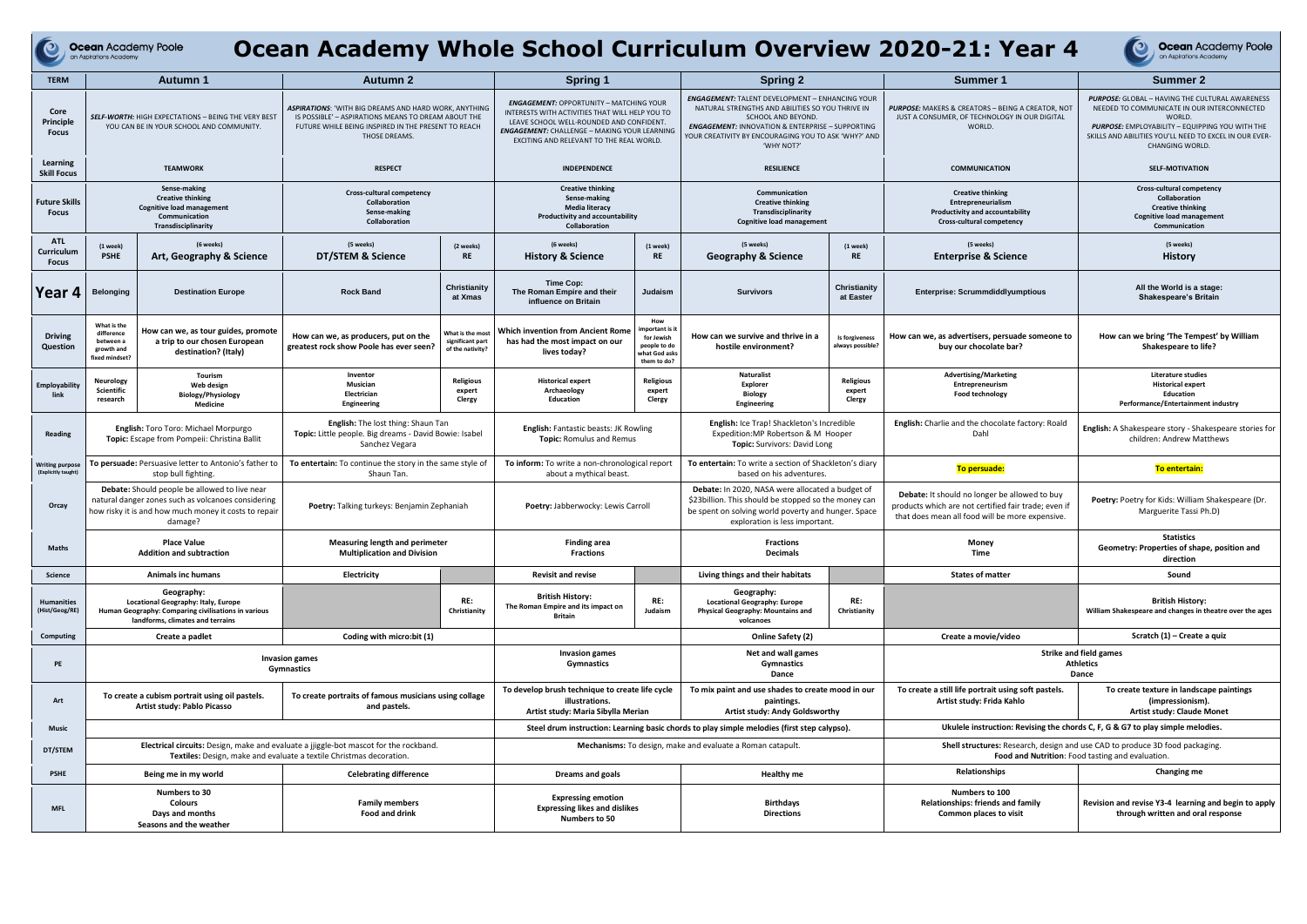|                                               | <b>Ocean Academy Poole</b><br>an Aspirations Academy                                                                                                                           |                                                                                                                                                        |                                                                                                                                                                                             |                                                                                                         |                                                                                                                                                                                                                                          |                                                                                                          |                                                                                                                                                                                                                                                                       |                                                                                  | Ocean Academy Whole School Curriculum Overview 2020-21: Year 4                                                                                           | $\bullet$<br><b>Ocean Academy Poole</b><br>an Aspirations Academy                                                                                                                                                                                             |
|-----------------------------------------------|--------------------------------------------------------------------------------------------------------------------------------------------------------------------------------|--------------------------------------------------------------------------------------------------------------------------------------------------------|---------------------------------------------------------------------------------------------------------------------------------------------------------------------------------------------|---------------------------------------------------------------------------------------------------------|------------------------------------------------------------------------------------------------------------------------------------------------------------------------------------------------------------------------------------------|----------------------------------------------------------------------------------------------------------|-----------------------------------------------------------------------------------------------------------------------------------------------------------------------------------------------------------------------------------------------------------------------|----------------------------------------------------------------------------------|----------------------------------------------------------------------------------------------------------------------------------------------------------|---------------------------------------------------------------------------------------------------------------------------------------------------------------------------------------------------------------------------------------------------------------|
| <b>TERM</b>                                   |                                                                                                                                                                                | <b>Autumn 1</b>                                                                                                                                        | <b>Autumn 2</b>                                                                                                                                                                             |                                                                                                         | <b>Spring 1</b>                                                                                                                                                                                                                          |                                                                                                          | <b>Spring 2</b>                                                                                                                                                                                                                                                       |                                                                                  | Summer 1                                                                                                                                                 | Summer 2                                                                                                                                                                                                                                                      |
| Core<br>Principle<br><b>Focus</b>             | <b>SELF-WORTH:</b> HIGH EXPECTATIONS - BEING THE VERY BEST<br>YOU CAN BE IN YOUR SCHOOL AND COMMUNITY.                                                                         |                                                                                                                                                        | <b>ASPIRATIONS: 'WITH BIG DREAMS AND HARD WORK, ANYTHING</b><br>IS POSSIBLE' - ASPIRATIONS MEANS TO DREAM ABOUT THE<br>FUTURE WHILE BEING INSPIRED IN THE PRESENT TO REACH<br>THOSE DREAMS. |                                                                                                         | <b>ENGAGEMENT: OPPORTUNITY - MATCHING YOUR</b><br>INTERESTS WITH ACTIVITIES THAT WILL HELP YOU TO<br>LEAVE SCHOOL WELL-ROUNDED AND CONFIDENT<br>ENGAGEMENT: CHALLENGE - MAKING YOUR LEARNING<br>EXCITING AND RELEVANT TO THE REAL WORLD. |                                                                                                          | <b>ENGAGEMENT: TALENT DEVELOPMENT - ENHANCING YOUR</b><br>NATURAL STRENGTHS AND ABILITIES SO YOU THRIVE IN<br>SCHOOL AND BEYOND.<br><b>ENGAGEMENT: INNOVATION &amp; ENTERPRISE - SUPPORTING</b><br>YOUR CREATIVITY BY ENCOURAGING YOU TO ASK 'WHY?' AND<br>'WHY NOT?' |                                                                                  | <b>PURPOSE:</b> MAKERS & CREATORS - BEING A CREATOR, NOT<br>JUST A CONSUMER, OF TECHNOLOGY IN OUR DIGITAL<br>WORLD.                                      | <b>PURPOSE:</b> GLOBAL - HAVING THE CULTURAL AWARENESS<br>NEEDED TO COMMUNICATE IN OUR INTERCONNECTED<br>WORLD.<br><b>PURPOSE:</b> EMPLOYABILITY - EQUIPPING YOU WITH THE<br>SKILLS AND ABILITIES YOU'LL NEED TO EXCEL IN OUR EVER-<br><b>CHANGING WORLD.</b> |
| Learning<br><b>Skill Focus</b>                | <b>TEAMWORK</b>                                                                                                                                                                |                                                                                                                                                        | <b>RESPECT</b>                                                                                                                                                                              |                                                                                                         | <b>INDEPENDENCE</b>                                                                                                                                                                                                                      |                                                                                                          | <b>RESILIENCE</b>                                                                                                                                                                                                                                                     |                                                                                  | <b>COMMUNICATION</b>                                                                                                                                     | <b>SELF-MOTIVATION</b>                                                                                                                                                                                                                                        |
| <b>Future Skills</b><br><b>Focus</b>          | Sense-making<br><b>Creative thinking</b><br><b>Cognitive load management</b><br>Communication<br>Transdisciplinarity                                                           |                                                                                                                                                        | Cross-cultural competency<br>Collaboration<br>Sense-making<br>Collaboration                                                                                                                 |                                                                                                         | <b>Creative thinking</b><br>Sense-making<br><b>Media literacy</b><br>Productivity and accountability<br><b>Collaboration</b>                                                                                                             |                                                                                                          | Communication<br><b>Creative thinking</b><br>Transdisciplinarity<br><b>Cognitive load management</b>                                                                                                                                                                  |                                                                                  | <b>Creative thinking</b><br>Entrepreneurialism<br><b>Productivity and accountability</b><br>Cross-cultural competency                                    | Cross-cultural competency<br>Collaboration<br><b>Creative thinking</b><br><b>Cognitive load management</b><br>Communication                                                                                                                                   |
| <b>ATL</b><br>Curriculum<br><b>Focus</b>      | (1 week)<br><b>PSHE</b>                                                                                                                                                        | (6 weeks)<br>Art, Geography & Science                                                                                                                  | (5 weeks)<br>DT/STEM & Science                                                                                                                                                              | (2 weeks)<br><b>RE</b>                                                                                  | (6 weeks)<br><b>History &amp; Science</b>                                                                                                                                                                                                | (1 week)<br><b>RE</b>                                                                                    | (5 weeks)<br><b>Geography &amp; Science</b>                                                                                                                                                                                                                           | (1 week)<br><b>RE</b>                                                            | (5 weeks)<br><b>Enterprise &amp; Science</b>                                                                                                             | (5 weeks)<br><b>History</b>                                                                                                                                                                                                                                   |
| Year 4                                        | <b>Belonging</b>                                                                                                                                                               | <b>Destination Europe</b>                                                                                                                              | <b>Rock Band</b>                                                                                                                                                                            | <b>Christianity</b><br>at Xmas                                                                          | Time Cop:<br>The Roman Empire and their<br>influence on Britain                                                                                                                                                                          | Judaism                                                                                                  | <b>Survivors</b>                                                                                                                                                                                                                                                      | Christianity<br>at Easter                                                        | Enterprise: Scrummdiddlyumptious                                                                                                                         | All the World is a stage:<br><b>Shakespeare's Britain</b>                                                                                                                                                                                                     |
| <b>Driving</b><br>Question                    | What is the<br>difference<br>between a<br>growth and<br>fixed mindset?                                                                                                         | How can we, as tour guides, promote<br>a trip to our chosen European<br>destination? (Italy)                                                           | How can we, as producers, put on the<br>greatest rock show Poole has ever seen?                                                                                                             | What is the most<br>significant part<br>of the nativity?                                                | <b>Which invention from Ancient Rome</b><br>has had the most impact on our<br>lives today?                                                                                                                                               | How<br>nportant is it<br>for Jewish<br>people to do<br>what God asks<br>them to do?                      | How can we survive and thrive in a<br>hostile environment?                                                                                                                                                                                                            | Is forgiveness<br>always possible?                                               | How can we, as advertisers, persuade someone to<br>buy our chocolate bar?                                                                                | How can we bring 'The Tempest' by William<br>Shakespeare to life?                                                                                                                                                                                             |
| <b>Employability</b>                          | Neurology<br><b>Scientific</b><br>research                                                                                                                                     | Tourism<br>Web design<br><b>Biology/Physiology</b><br><b>Medicine</b>                                                                                  | Inventor<br>Musician<br>Electrician<br>Engineering                                                                                                                                          | <b>Religious</b><br>expert<br>Clergy                                                                    | <b>Historical expert</b><br>Archaeology<br><b>Education</b>                                                                                                                                                                              | <b>Religious</b><br>expert<br>Clergy                                                                     | Naturalist<br>Explorer<br><b>Biology</b><br>Engineering                                                                                                                                                                                                               | <b>Religious</b><br>expert<br>Clergy                                             | <b>Advertising/Marketing</b><br>Entrepreneurism<br><b>Food technology</b>                                                                                | <b>Literature studies</b><br><b>Historical expert</b><br><b>Education</b><br>Performance/Entertainment industry                                                                                                                                               |
| Reading                                       | <b>English:</b> Toro Toro: Michael Morpurgo<br>Topic: Escape from Pompeii: Christina Ballit                                                                                    |                                                                                                                                                        | English: The lost thing: Shaun Tan<br>Topic: Little people. Big dreams - David Bowie: Isabel<br>Sanchez Vegara                                                                              |                                                                                                         | <b>English:</b> Fantastic beasts: JK Rowling<br><b>Topic: Romulus and Remus</b>                                                                                                                                                          |                                                                                                          | English: Ice Trap! Shackleton's Incredible<br>Expedition: MP Robertson & M Hooper<br>Topic: Survivors: David Long                                                                                                                                                     |                                                                                  | English: Charlie and the chocolate factory: Roald<br>Dahl                                                                                                | English: A Shakespeare story - Shakespeare stories for<br>children: Andrew Matthews                                                                                                                                                                           |
| <b>Writing purpose</b><br>(Explicitly taught) | To persuade: Persuasive letter to Antonio's father to<br>stop bull fighting.                                                                                                   |                                                                                                                                                        | To entertain: To continue the story in the same style of<br>Shaun Tan.                                                                                                                      |                                                                                                         | To inform: To write a non-chronological report<br>about a mythical beast.                                                                                                                                                                |                                                                                                          | To entertain: To write a section of Shackleton's diary<br>based on his adventures.                                                                                                                                                                                    |                                                                                  | To persuade:                                                                                                                                             | <b>To entertain:</b>                                                                                                                                                                                                                                          |
| Orcay                                         | <b>Debate:</b> Should people be allowed to live near<br>natural danger zones such as volcanoes considering<br>how risky it is and how much money it costs to repair<br>damage? |                                                                                                                                                        | Poetry: Talking turkeys: Benjamin Zephaniah                                                                                                                                                 |                                                                                                         | Poetry: Jabberwocky: Lewis Carroll                                                                                                                                                                                                       |                                                                                                          | Debate: In 2020, NASA were allocated a budget of<br>\$23billion. This should be stopped so the money can<br>be spent on solving world poverty and hunger. Space<br>exploration is less important.                                                                     |                                                                                  | Debate: It should no longer be allowed to buy<br>products which are not certified fair trade; even if<br>that does mean all food will be more expensive. | Poetry: Poetry for Kids: William Shakespeare (Dr.<br>Marguerite Tassi Ph.D)                                                                                                                                                                                   |
| <b>Maths</b>                                  |                                                                                                                                                                                | <b>Place Value</b><br><b>Addition and subtraction</b>                                                                                                  | Measuring length and perimeter<br><b>Multiplication and Division</b>                                                                                                                        |                                                                                                         | <b>Finding area</b><br><b>Fractions</b>                                                                                                                                                                                                  |                                                                                                          | <b>Fractions</b><br>Decimals                                                                                                                                                                                                                                          |                                                                                  | Money<br>Time                                                                                                                                            | <b>Statistics</b><br>Geometry: Properties of shape, position and<br>direction                                                                                                                                                                                 |
| Science                                       |                                                                                                                                                                                | <b>Animals inc humans</b>                                                                                                                              | Electricity                                                                                                                                                                                 |                                                                                                         | <b>Revisit and revise</b>                                                                                                                                                                                                                |                                                                                                          | Living things and their habitats                                                                                                                                                                                                                                      |                                                                                  | <b>States of matter</b>                                                                                                                                  | Sound                                                                                                                                                                                                                                                         |
| <b>Humanities</b><br>(Hist/Geog/RE)           |                                                                                                                                                                                | Geography:<br>Locational Geography: Italy, Europe<br>Human Geography: Comparing civilisations in various<br>landforms, climates and terrains           |                                                                                                                                                                                             | RE:<br>Christianity                                                                                     | <b>British History:</b><br>The Roman Empire and its impact on<br>Britain                                                                                                                                                                 | RE:<br>Judaism                                                                                           | Geography:<br><b>Locational Geography: Europe</b><br>Physical Geography: Mountains and<br>volcanoes                                                                                                                                                                   | RE:<br>Christianity                                                              |                                                                                                                                                          | <b>British History:</b><br>William Shakespeare and changes in theatre over the ages                                                                                                                                                                           |
| Computing                                     |                                                                                                                                                                                | Create a padlet                                                                                                                                        | Coding with micro:bit (1)                                                                                                                                                                   |                                                                                                         |                                                                                                                                                                                                                                          |                                                                                                          | Online Safety (2)                                                                                                                                                                                                                                                     |                                                                                  | Create a movie/video                                                                                                                                     | Scratch (1) - Create a quiz                                                                                                                                                                                                                                   |
| PE                                            | <b>Invasion games</b><br>Gymnastics                                                                                                                                            |                                                                                                                                                        |                                                                                                                                                                                             | <b>Invasion games</b><br>Gymnastics                                                                     |                                                                                                                                                                                                                                          | Net and wall games<br>Gymnastics<br>Dance                                                                |                                                                                                                                                                                                                                                                       | <b>Strike and field games</b><br><b>Athletics</b><br>Dance                       |                                                                                                                                                          |                                                                                                                                                                                                                                                               |
| Art                                           |                                                                                                                                                                                | To create portraits of famous musicians using collage<br>To create a cubism portrait using oil pastels.<br>Artist study: Pablo Picasso<br>and pastels. |                                                                                                                                                                                             | To develop brush technique to create life cycle<br>illustrations.<br>Artist study: Maria Sibylla Merian |                                                                                                                                                                                                                                          | To mix paint and use shades to create mood in our<br>paintings.<br><b>Artist study: Andy Goldsworthy</b> |                                                                                                                                                                                                                                                                       | To create a still life portrait using soft pastels.<br>Artist study: Frida Kahlo | To create texture in landscape paintings<br>(impressionism).<br><b>Artist study: Claude Monet</b>                                                        |                                                                                                                                                                                                                                                               |
| Music                                         |                                                                                                                                                                                |                                                                                                                                                        |                                                                                                                                                                                             |                                                                                                         | Steel drum instruction: Learning basic chords to play simple melodies (first step calypso).                                                                                                                                              |                                                                                                          |                                                                                                                                                                                                                                                                       |                                                                                  | Ukulele instruction: Revising the chords C, F, G & G7 to play simple melodies.                                                                           |                                                                                                                                                                                                                                                               |
| DT/STEM                                       |                                                                                                                                                                                |                                                                                                                                                        | Electrical circuits: Design, make and evaluate a jijggle-bot mascot for the rockband.<br>Textiles: Design, make and evaluate a textile Christmas decoration.                                |                                                                                                         |                                                                                                                                                                                                                                          |                                                                                                          | <b>Mechanisms:</b> To design, make and evaluate a Roman catapult.                                                                                                                                                                                                     |                                                                                  |                                                                                                                                                          | Shell structures: Research, design and use CAD to produce 3D food packaging.<br>Food and Nutrition: Food tasting and evaluation.                                                                                                                              |
| <b>PSHE</b>                                   |                                                                                                                                                                                | Being me in my world                                                                                                                                   | <b>Celebrating difference</b>                                                                                                                                                               |                                                                                                         | Dreams and goals                                                                                                                                                                                                                         |                                                                                                          | <b>Healthy me</b>                                                                                                                                                                                                                                                     |                                                                                  | Relationships                                                                                                                                            | Changing me                                                                                                                                                                                                                                                   |
| <b>MFL</b>                                    |                                                                                                                                                                                | Numbers to 30<br><b>Colours</b><br>Days and months<br>Seasons and the weather                                                                          | <b>Family members</b><br><b>Food and drink</b>                                                                                                                                              |                                                                                                         | <b>Expressing emotion</b><br><b>Expressing likes and dislikes</b><br>Numbers to 50                                                                                                                                                       |                                                                                                          | <b>Birthdays</b><br><b>Directions</b>                                                                                                                                                                                                                                 |                                                                                  | Numbers to 100<br><b>Relationships: friends and family</b><br>Common places to visit                                                                     | Revision and revise Y3-4 learning and begin to apply<br>through written and oral response                                                                                                                                                                     |

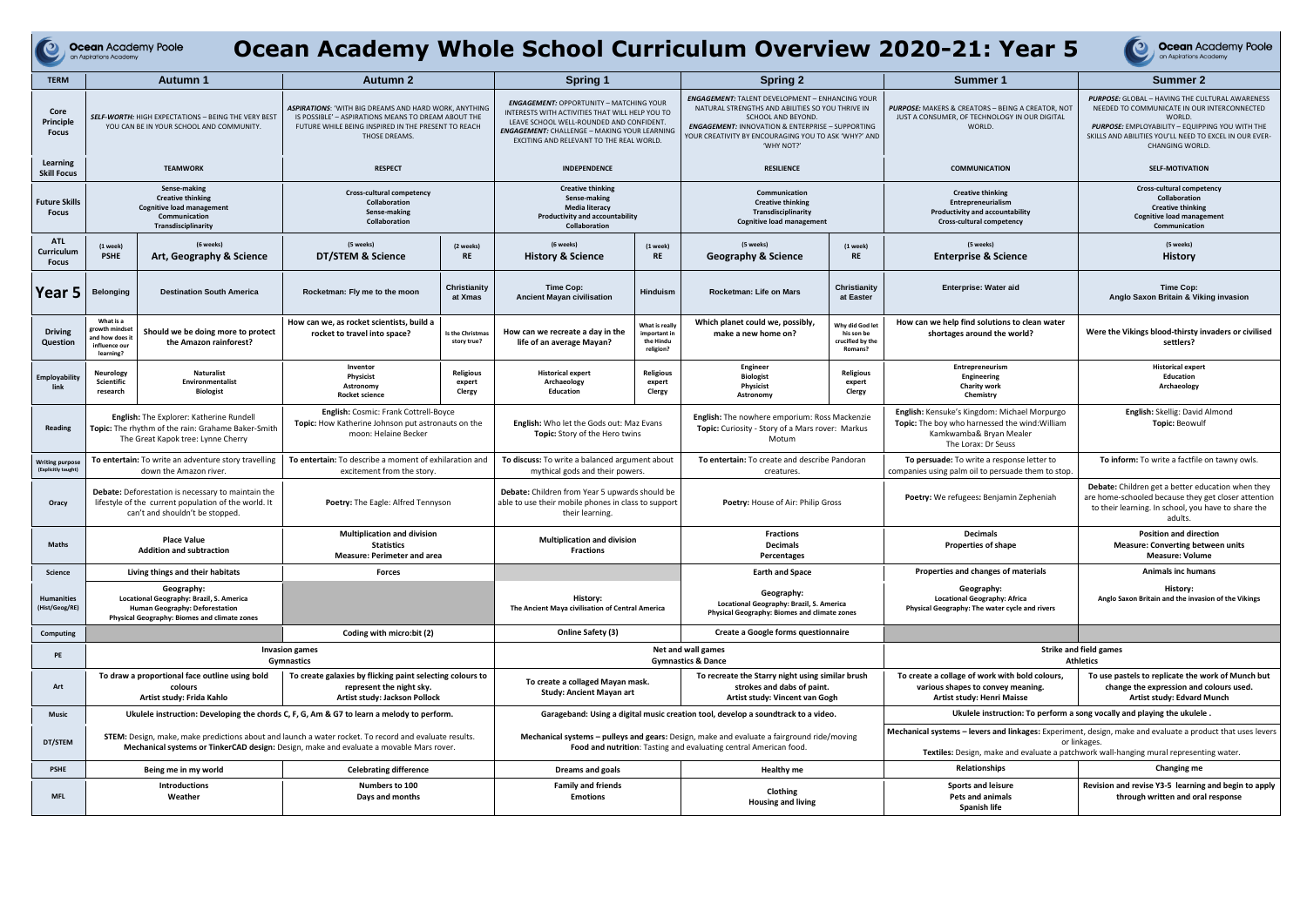| Ocean Academy Whole School Curriculum Overview 2020-21: Year 5<br><b>Ocean Academy Poole</b><br><b>Ocean Academy Poole</b><br>an Aspirations Academy<br>an Aspirations Academy |                                                                                                                                                                                                         |                                                              |                                                                                                                                                                                             |                                                     |                                                                                                                                                                                                                                           |                                                          |                                                                                                                                                                                                                                                               |                                                                        |                                                                                                                                                         |                                                                                                                                                                                                                                                               |
|--------------------------------------------------------------------------------------------------------------------------------------------------------------------------------|---------------------------------------------------------------------------------------------------------------------------------------------------------------------------------------------------------|--------------------------------------------------------------|---------------------------------------------------------------------------------------------------------------------------------------------------------------------------------------------|-----------------------------------------------------|-------------------------------------------------------------------------------------------------------------------------------------------------------------------------------------------------------------------------------------------|----------------------------------------------------------|---------------------------------------------------------------------------------------------------------------------------------------------------------------------------------------------------------------------------------------------------------------|------------------------------------------------------------------------|---------------------------------------------------------------------------------------------------------------------------------------------------------|---------------------------------------------------------------------------------------------------------------------------------------------------------------------------------------------------------------------------------------------------------------|
| <b>TERM</b>                                                                                                                                                                    |                                                                                                                                                                                                         | <b>Autumn 1</b>                                              | <b>Autumn 2</b>                                                                                                                                                                             |                                                     | <b>Spring 1</b>                                                                                                                                                                                                                           |                                                          | <b>Spring 2</b>                                                                                                                                                                                                                                               |                                                                        | Summer 1                                                                                                                                                | Summer 2                                                                                                                                                                                                                                                      |
| Core<br>Principle<br><b>Focus</b>                                                                                                                                              | SELF-WORTH: HIGH EXPECTATIONS - BEING THE VERY BEST<br>YOU CAN BE IN YOUR SCHOOL AND COMMUNITY.                                                                                                         |                                                              | <b>ASPIRATIONS: 'WITH BIG DREAMS AND HARD WORK, ANYTHING</b><br>IS POSSIBLE' - ASPIRATIONS MEANS TO DREAM ABOUT THE<br>FUTURE WHILE BEING INSPIRED IN THE PRESENT TO REACH<br>THOSE DREAMS. |                                                     | <b>ENGAGEMENT: OPPORTUNITY - MATCHING YOUR</b><br>INTERESTS WITH ACTIVITIES THAT WILL HELP YOU TO<br>LEAVE SCHOOL WELL-ROUNDED AND CONFIDENT.<br>ENGAGEMENT: CHALLENGE - MAKING YOUR LEARNING<br>EXCITING AND RELEVANT TO THE REAL WORLD. |                                                          | ENGAGEMENT: TALENT DEVELOPMENT - ENHANCING YOUR<br>NATURAL STRENGTHS AND ABILITIES SO YOU THRIVE IN<br>SCHOOL AND BEYOND.<br><b>ENGAGEMENT: INNOVATION &amp; ENTERPRISE - SUPPORTING</b><br>OUR CREATIVITY BY ENCOURAGING YOU TO ASK 'WHY?' AND<br>'WHY NOT?' |                                                                        | PURPOSE: MAKERS & CREATORS - BEING A CREATOR, NOT<br>JUST A CONSUMER, OF TECHNOLOGY IN OUR DIGITAL<br>WORLD.                                            | <b>PURPOSE:</b> GLOBAL - HAVING THE CULTURAL AWARENESS<br>NEEDED TO COMMUNICATE IN OUR INTERCONNECTED<br>WORLD.<br><b>PURPOSE:</b> EMPLOYABILITY - EQUIPPING YOU WITH THE<br>SKILLS AND ABILITIES YOU'LL NEED TO EXCEL IN OUR EVER-<br><b>CHANGING WORLD.</b> |
| Learning<br><b>Skill Focus</b>                                                                                                                                                 | <b>TEAMWORK</b>                                                                                                                                                                                         |                                                              | <b>RESPECT</b>                                                                                                                                                                              |                                                     | <b>INDEPENDENCE</b>                                                                                                                                                                                                                       |                                                          | <b>RESILIENCE</b>                                                                                                                                                                                                                                             |                                                                        | <b>COMMUNICATION</b>                                                                                                                                    | <b>SELF-MOTIVATION</b>                                                                                                                                                                                                                                        |
| <b>Future Skills</b><br><b>Focus</b>                                                                                                                                           | Sense-making<br><b>Creative thinking</b><br><b>Cognitive load management</b><br>Communication<br>Transdisciplinarity                                                                                    |                                                              | Cross-cultural competency<br>Collaboration<br>Sense-making<br>Collaboration                                                                                                                 |                                                     | <b>Creative thinking</b><br>Sense-making<br><b>Media literacy</b><br><b>Productivity and accountability</b><br><b>Collaboration</b>                                                                                                       |                                                          | Communication<br><b>Creative thinking</b><br>Transdisciplinarity<br><b>Cognitive load management</b>                                                                                                                                                          |                                                                        | <b>Creative thinking</b><br>Entrepreneurialism<br>Productivity and accountability<br>Cross-cultural competency                                          | <b>Cross-cultural competency</b><br>Collaboration<br><b>Creative thinking</b><br><b>Cognitive load management</b><br>Communication                                                                                                                            |
| <b>ATL</b><br>Curriculum<br><b>Focus</b>                                                                                                                                       | (1 week)<br><b>PSHE</b>                                                                                                                                                                                 | (6 weeks)<br>Art, Geography & Science                        | (5 weeks)<br>DT/STEM & Science                                                                                                                                                              | (2 weeks)<br><b>RE</b>                              | (6 weeks)<br><b>History &amp; Science</b>                                                                                                                                                                                                 | (1 week)<br><b>RE</b>                                    | (5 weeks)<br><b>Geography &amp; Science</b>                                                                                                                                                                                                                   | (1 week)<br><b>RE</b>                                                  | (5 weeks)<br><b>Enterprise &amp; Science</b>                                                                                                            | (5 weeks)<br><b>History</b>                                                                                                                                                                                                                                   |
| Year 5                                                                                                                                                                         | <b>Belonging</b>                                                                                                                                                                                        | <b>Destination South America</b>                             | Rocketman: Fly me to the moon                                                                                                                                                               | Christianity<br>at Xmas                             | Time Cop:<br><b>Ancient Mayan civilisation</b>                                                                                                                                                                                            | <b>Hinduism</b>                                          | Rocketman: Life on Mars                                                                                                                                                                                                                                       | Christianity<br>at Easter                                              | <b>Enterprise: Water aid</b>                                                                                                                            | Time Cop:<br>Anglo Saxon Britain & Viking invasion                                                                                                                                                                                                            |
| <b>Driving</b><br>Question                                                                                                                                                     | What is a<br>growth mindse<br>and how does i<br>influence our<br>learning?                                                                                                                              | Should we be doing more to protect<br>the Amazon rainforest? | How can we, as rocket scientists, build a<br>rocket to travel into space?                                                                                                                   | Is the Christmas<br>story true?                     | How can we recreate a day in the<br>life of an average Mavan?                                                                                                                                                                             | What is really<br>important in<br>the Hindu<br>religion? | Which planet could we, possibly,<br>make a new home on?                                                                                                                                                                                                       | Why did God let<br>his son be<br>crucified by the<br><b>Romans?</b>    | How can we help find solutions to clean water<br>shortages around the world?                                                                            | Were the Vikings blood-thirsty invaders or civilised<br>settlers?                                                                                                                                                                                             |
| <b>Employability</b>                                                                                                                                                           | Neurology<br>Scientific<br>research                                                                                                                                                                     | <b>Naturalist</b><br>Environmentalist<br><b>Biologist</b>    | Inventor<br><b>Physicist</b><br>Astronomy<br><b>Rocket science</b>                                                                                                                          | <b>Religious</b><br>expert<br>Clergy                | <b>Historical expert</b><br>Archaeology<br><b>Education</b>                                                                                                                                                                               | <b>Religious</b><br>expert<br>Clergy                     | Engineer<br><b>Biologist</b><br>Physicist<br>Astronomy                                                                                                                                                                                                        | <b>Religious</b><br>expert<br>Clergy                                   | Entrepreneurism<br>Engineering<br><b>Charity work</b><br>Chemistry                                                                                      | <b>Historical expert</b><br>Education<br>Archaeology                                                                                                                                                                                                          |
| Reading                                                                                                                                                                        | <b>English:</b> The Explorer: Katherine Rundell<br>Topic: The rhythm of the rain: Grahame Baker-Smith<br>The Great Kapok tree: Lynne Cherry                                                             |                                                              | <b>English:</b> Cosmic: Frank Cottrell-Boyce<br>Topic: How Katherine Johnson put astronauts on the<br>moon: Helaine Becker                                                                  |                                                     | <b>English:</b> Who let the Gods out: Maz Evans<br><b>Topic:</b> Story of the Hero twins                                                                                                                                                  |                                                          | English: The nowhere emporium: Ross Mackenzie<br><b>Topic:</b> Curiosity - Story of a Mars rover: Markus<br>Motum                                                                                                                                             |                                                                        | <b>English:</b> Kensuke's Kingdom: Michael Morpurgo<br>Topic: The boy who harnessed the wind: William<br>Kamkwamba& Bryan Mealer<br>The Lorax: Dr Seuss | English: Skellig: David Almond<br><b>Topic: Beowulf</b>                                                                                                                                                                                                       |
| <b>Writing purpose</b><br>(Explicitly taught)                                                                                                                                  | To entertain: To write an adventure story travelling<br>down the Amazon river.                                                                                                                          |                                                              | To entertain: To describe a moment of exhilaration and<br>excitement from the story                                                                                                         |                                                     | To discuss: To write a balanced argument about<br>mythical gods and their powers.                                                                                                                                                         |                                                          | To entertain: To create and describe Pandoran<br>creatures.                                                                                                                                                                                                   |                                                                        | To persuade: To write a response letter to<br>companies using palm oil to persuade them to stop.                                                        | To inform: To write a factfile on tawny owls.                                                                                                                                                                                                                 |
| Oracy                                                                                                                                                                          | Debate: Deforestation is necessary to maintain the<br>lifestyle of the current population of the world. It<br>can't and shouldn't be stopped.                                                           |                                                              | Poetry: The Eagle: Alfred Tennyson                                                                                                                                                          |                                                     | <b>Debate:</b> Children from Year 5 upwards should be<br>able to use their mobile phones in class to support<br>their learning.                                                                                                           |                                                          | Poetry: House of Air: Philip Gross                                                                                                                                                                                                                            |                                                                        | <b>Poetry:</b> We refugees: Benjamin Zepheniah                                                                                                          | <b>Debate:</b> Children get a better education when they<br>are home-schooled because they get closer attention<br>to their learning. In school, you have to share the<br>adults.                                                                             |
| <b>Maths</b>                                                                                                                                                                   | <b>Place Value</b><br><b>Addition and subtraction</b>                                                                                                                                                   |                                                              | <b>Multiplication and division</b><br><b>Statistics</b><br><b>Measure: Perimeter and area</b>                                                                                               |                                                     | <b>Multiplication and division</b><br><b>Fractions</b>                                                                                                                                                                                    |                                                          | <b>Fractions</b><br>Decimals<br>Percentages                                                                                                                                                                                                                   |                                                                        | <b>Decimals</b><br><b>Properties of shape</b>                                                                                                           | <b>Position and direction</b><br><b>Measure: Converting between units</b><br><b>Measure: Volume</b>                                                                                                                                                           |
| <b>Science</b>                                                                                                                                                                 |                                                                                                                                                                                                         | Living things and their habitats                             | <b>Forces</b>                                                                                                                                                                               |                                                     |                                                                                                                                                                                                                                           |                                                          | <b>Earth and Space</b>                                                                                                                                                                                                                                        |                                                                        | Properties and changes of materials                                                                                                                     | <b>Animals inc humans</b>                                                                                                                                                                                                                                     |
| <b>Humanities</b><br>(Hist/Geog/RE)                                                                                                                                            | Geography:<br>Locational Geography: Brazil, S. America<br>Human Geography: Deforestation<br>Physical Geography: Biomes and climate zones                                                                |                                                              |                                                                                                                                                                                             |                                                     | History:<br>The Ancient Maya civilisation of Central America                                                                                                                                                                              |                                                          | Geography:<br>Locational Geography: Brazil, S. America<br>Physical Geography: Biomes and climate zones                                                                                                                                                        |                                                                        | Geography:<br><b>Locational Geography: Africa</b><br>Physical Geography: The water cycle and rivers                                                     | History:<br>Anglo Saxon Britain and the invasion of the Vikings                                                                                                                                                                                               |
| Computing                                                                                                                                                                      |                                                                                                                                                                                                         |                                                              | Coding with micro:bit (2)                                                                                                                                                                   |                                                     | Online Safety (3)                                                                                                                                                                                                                         |                                                          | Create a Google forms questionnaire                                                                                                                                                                                                                           |                                                                        |                                                                                                                                                         |                                                                                                                                                                                                                                                               |
| PE                                                                                                                                                                             | <b>Invasion games</b><br>Gymnastics                                                                                                                                                                     |                                                              |                                                                                                                                                                                             | Net and wall games<br><b>Gymnastics &amp; Dance</b> |                                                                                                                                                                                                                                           |                                                          |                                                                                                                                                                                                                                                               | <b>Strike and field games</b><br><b>Athletics</b>                      |                                                                                                                                                         |                                                                                                                                                                                                                                                               |
| Art                                                                                                                                                                            | To draw a proportional face outline using bold<br>colours<br>Artist study: Frida Kahlo                                                                                                                  |                                                              | To create galaxies by flicking paint selecting colours to<br>represent the night sky.<br>Artist study: Jackson Pollock                                                                      |                                                     | To create a collaged Mayan mask.<br><b>Study: Ancient Mayan art</b>                                                                                                                                                                       |                                                          | To recreate the Starry night using similar brush<br>strokes and dabs of paint.<br>Artist study: Vincent van Gogh                                                                                                                                              |                                                                        | To create a collage of work with bold colours,<br>various shapes to convey meaning.<br><b>Artist study: Henri Maisse</b>                                | To use pastels to replicate the work of Munch but<br>change the expression and colours used.<br>Artist study: Edvard Munch                                                                                                                                    |
| <b>Music</b>                                                                                                                                                                   |                                                                                                                                                                                                         |                                                              | Ukulele instruction: Developing the chords C, F, G, Am & G7 to learn a melody to perform.                                                                                                   |                                                     | Garageband: Using a digital music creation tool, develop a soundtrack to a video.                                                                                                                                                         |                                                          |                                                                                                                                                                                                                                                               | Ukulele instruction: To perform a song vocally and playing the ukulele |                                                                                                                                                         |                                                                                                                                                                                                                                                               |
| DT/STEM                                                                                                                                                                        | <b>STEM:</b> Design, make, make predictions about and launch a water rocket. To record and evaluate results.<br>Mechanical systems or TinkerCAD design: Design, make and evaluate a movable Mars rover. |                                                              |                                                                                                                                                                                             |                                                     | <b>Mechanical systems – pulleys and gears:</b> Design, make and evaluate a fairground ride/moving<br>Food and nutrition: Tasting and evaluating central American food.                                                                    |                                                          | Mechanical systems - levers and linkages: Experiment, design, make and evaluate a product that uses levers<br>or linkages<br>Textiles: Design, make and evaluate a patchwork wall-hanging mural representing water.                                           |                                                                        |                                                                                                                                                         |                                                                                                                                                                                                                                                               |
| <b>PSHE</b>                                                                                                                                                                    |                                                                                                                                                                                                         | Being me in my world                                         | <b>Celebrating difference</b>                                                                                                                                                               |                                                     | Dreams and goals                                                                                                                                                                                                                          |                                                          | <b>Healthy me</b>                                                                                                                                                                                                                                             |                                                                        | Relationships                                                                                                                                           | Changing me                                                                                                                                                                                                                                                   |
| <b>MFL</b>                                                                                                                                                                     |                                                                                                                                                                                                         | <b>Introductions</b><br>Weather                              | Numbers to 100<br>Days and months                                                                                                                                                           |                                                     | <b>Family and friends</b><br><b>Emotions</b>                                                                                                                                                                                              |                                                          | Clothing<br><b>Housing and living</b>                                                                                                                                                                                                                         |                                                                        | <b>Sports and leisure</b><br><b>Pets and animals</b><br>Spanish life                                                                                    | Revision and revise Y3-5 learning and begin to apply<br>through written and oral response                                                                                                                                                                     |